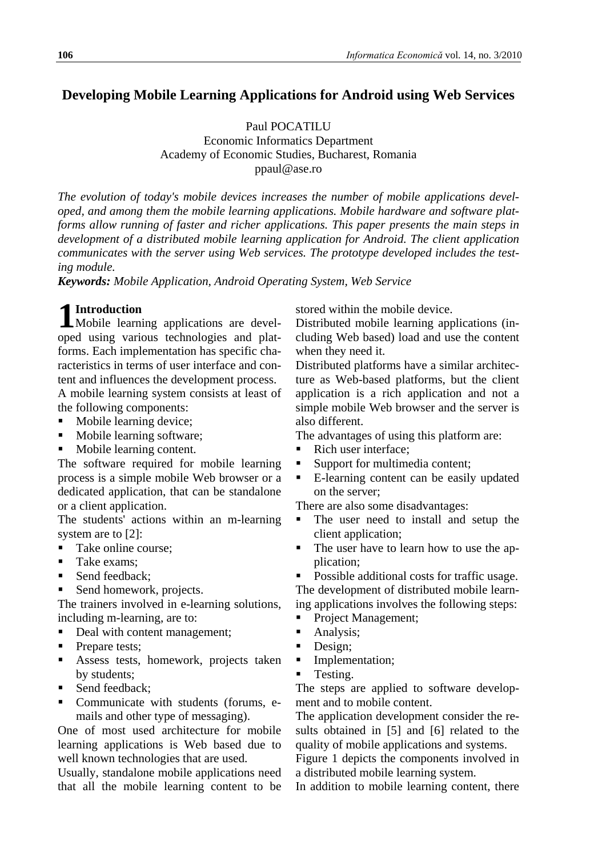# **Developing Mobile Learning Applications for Android using Web Services**

Paul POCATILU

Economic Informatics Department Academy of Economic Studies, Bucharest, Romania ppaul@ase.ro

*The evolution of today's mobile devices increases the number of mobile applications developed, and among them the mobile learning applications. Mobile hardware and software platforms allow running of faster and richer applications. This paper presents the main steps in development of a distributed mobile learning application for Android. The client application communicates with the server using Web services. The prototype developed includes the testing module.*

*Keywords: Mobile Application, Android Operating System, Web Service*

# **Introduction**

**1** Introduction<br>Mobile learning applications are developed using various technologies and platforms. Each implementation has specific characteristics in terms of user interface and content and influences the development process. A mobile learning system consists at least of the following components:

- Mobile learning device;
- Mobile learning software;
- Mobile learning content.

The software required for mobile learning process is a simple mobile Web browser or a dedicated application, that can be standalone or a client application.

The students' actions within an m-learning system are to [2]:

- Take online course:
- Take exams;
- Send feedback;
- Send homework, projects.

The trainers involved in e-learning solutions, including m-learning, are to:

- Deal with content management;
- Prepare tests;
- Assess tests, homework, projects taken by students;
- Send feedback:
- Communicate with students (forums, emails and other type of messaging).

One of most used architecture for mobile learning applications is Web based due to well known technologies that are used.

Usually, standalone mobile applications need that all the mobile learning content to be stored within the mobile device.

Distributed mobile learning applications (including Web based) load and use the content when they need it.

Distributed platforms have a similar architecture as Web-based platforms, but the client application is a rich application and not a simple mobile Web browser and the server is also different.

The advantages of using this platform are:

- Rich user interface;
- Support for multimedia content;
- E-learning content can be easily updated on the server;

There are also some disadvantages:

- The user need to install and setup the client application;
- The user have to learn how to use the application;

 Possible additional costs for traffic usage. The development of distributed mobile learning applications involves the following steps:

- Project Management;
- Analysis;
- Design;
- **Implementation;**
- Testing.

The steps are applied to software development and to mobile content.

The application development consider the results obtained in [5] and [6] related to the quality of mobile applications and systems.

Figure 1 depicts the components involved in a distributed mobile learning system.

In addition to mobile learning content, there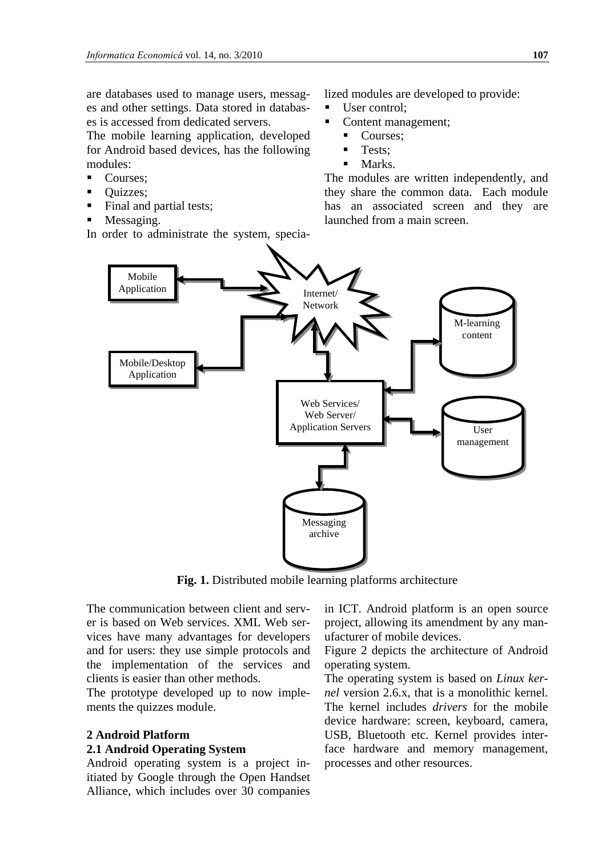are databases used to manage users, messages and other settings. Data stored in databases is accessed from dedicated servers.

The mobile learning application, developed for Android based devices, has the following modules:

- Courses:
- Quizzes;
- Final and partial tests;
- Messaging.

In order to administrate the system, specia-

lized modules are developed to provide:

- User control:
- Content management;
	- Courses:
		- **Tests:**
		- Marks.

The modules are written independently, and they share the common data. Each module has an associated screen and they are launched from a main screen.



**Fig. 1.** Distributed mobile learning platforms architecture

The communication between client and server is based on Web services. XML Web services have many advantages for developers and for users: they use simple protocols and the implementation of the services and clients is easier than other methods.

The prototype developed up to now implements the quizzes module.

## **2 Android Platform**

#### **2.1 Android Operating System**

Android operating system is a project initiated by Google through the Open Handset Alliance, which includes over 30 companies in ICT. Android platform is an open source project, allowing its amendment by any manufacturer of mobile devices.

Figure 2 depicts the architecture of Android operating system.

The operating system is based on *Linux kernel* version 2.6.x, that is a monolithic kernel. The kernel includes *drivers* for the mobile device hardware: screen, keyboard, camera, USB, Bluetooth etc. Kernel provides interface hardware and memory management, processes and other resources.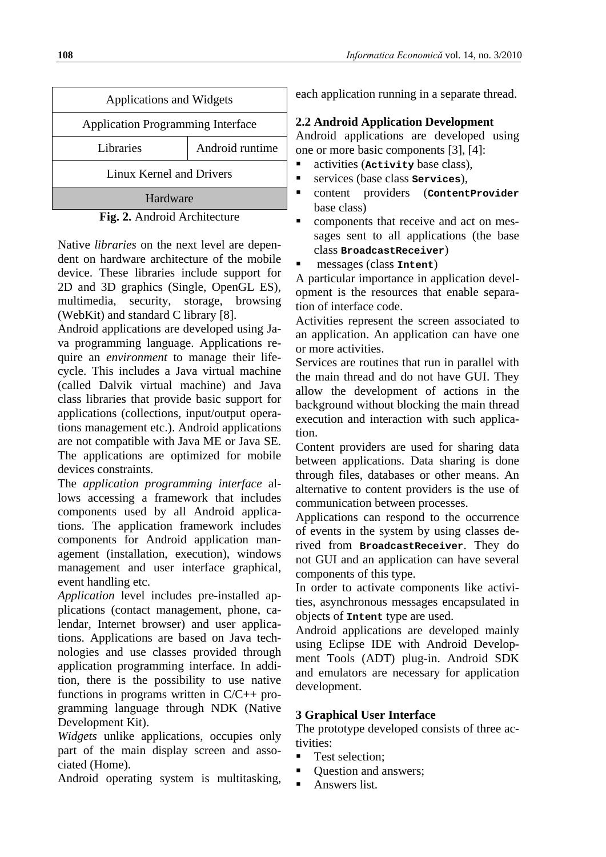| <b>Applications and Widgets</b>          |                 |  |
|------------------------------------------|-----------------|--|
| <b>Application Programming Interface</b> |                 |  |
| <b>Libraries</b>                         | Android runtime |  |
| Linux Kernel and Drivers                 |                 |  |
| Hardware                                 |                 |  |



Native *libraries* on the next level are dependent on hardware architecture of the mobile device. These libraries include support for 2D and 3D graphics (Single, OpenGL ES), multimedia, security, storage, browsing (WebKit) and standard C library [8].

Android applications are developed using Java programming language. Applications require an *environment* to manage their lifecycle. This includes a Java virtual machine (called Dalvik virtual machine) and Java class libraries that provide basic support for applications (collections, input/output operations management etc.). Android applications are not compatible with Java ME or Java SE. The applications are optimized for mobile devices constraints.

The *application programming interface* allows accessing a framework that includes components used by all Android applications. The application framework includes components for Android application management (installation, execution), windows management and user interface graphical, event handling etc.

*Application* level includes pre-installed applications (contact management, phone, calendar, Internet browser) and user applications. Applications are based on Java technologies and use classes provided through application programming interface. In addition, there is the possibility to use native functions in programs written in C/C++ programming language through NDK (Native Development Kit).

*Widgets* unlike applications, occupies only part of the main display screen and associated (Home).

Android operating system is multitasking,

each application running in a separate thread.

## **2.2 Android Application Development**

Android applications are developed using one or more basic components [3], [4]:

- activities (**Activity** base class),
- services (base class **Services**),
- content providers (**ContentProvider** base class)
- components that receive and act on messages sent to all applications (the base class **BroadcastReceiver**)
- messages (class **Intent**)

A particular importance in application development is the resources that enable separation of interface code.

Activities represent the screen associated to an application. An application can have one or more activities.

Services are routines that run in parallel with the main thread and do not have GUI. They allow the development of actions in the background without blocking the main thread execution and interaction with such application.

Content providers are used for sharing data between applications. Data sharing is done through files, databases or other means. An alternative to content providers is the use of communication between processes.

Applications can respond to the occurrence of events in the system by using classes derived from **BroadcastReceiver**. They do not GUI and an application can have several components of this type.

In order to activate components like activities, asynchronous messages encapsulated in objects of **Intent** type are used.

Android applications are developed mainly using Eclipse IDE with Android Development Tools (ADT) plug-in. Android SDK and emulators are necessary for application development.

## **3 Graphical User Interface**

The prototype developed consists of three activities:

- Test selection;
- Question and answers;
- Answers list.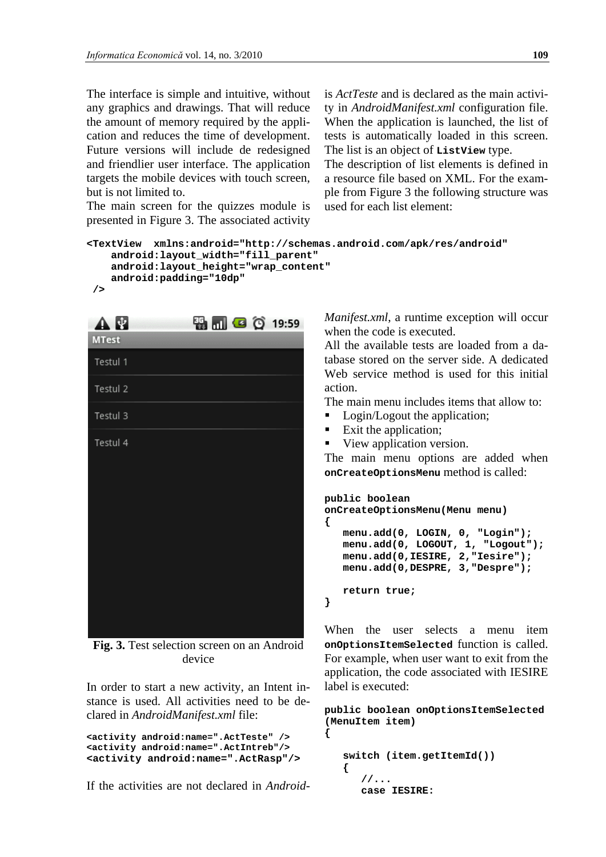The interface is simple and intuitive, without any graphics and drawings. That will reduce the amount of memory required by the application and reduces the time of development. Future versions will include de redesigned and friendlier user interface. The application targets the mobile devices with touch screen, but is not limited to.

is *ActTeste* and is declared as the main activity in *AndroidManifest.xml* configuration file. When the application is launched, the list of tests is automatically loaded in this screen. The list is an object of **ListView** type.

The description of list elements is defined in a resource file based on XML. For the example from Figure 3 the following structure was used for each list element:

```
The main screen for the quizzes module is 
presented in Figure 3. The associated activity
```

```
<TextView xmlns:android="http://schemas.android.com/apk/res/android"
     android:layout_width="fill_parent"
     android:layout_height="wrap_content"
     android:padding="10dp" 
/>
```


**Fig. 3.** Test selection screen on an Android device

In order to start a new activity, an Intent instance is used. All activities need to be declared in *AndroidManifest.xml* file:

```
<activity android:name=".ActTeste" />
<activity android:name=".ActIntreb"/>
<activity android:name=".ActRasp"/>
```
If the activities are not declared in *Android-*

*Manifest.xml*, a runtime exception will occur when the code is executed.

All the available tests are loaded from a database stored on the server side. A dedicated Web service method is used for this initial action.

The main menu includes items that allow to:

- Login/Logout the application;
- Exit the application;
- View application version.

The main menu options are added when **onCreateOptionsMenu** method is called:

```
public boolean 
onCreateOptionsMenu(Menu menu)
{
   menu.add(0, LOGIN, 0, "Login");
  menu.add(0, LOGOUT, 1, "Logout");
   menu.add(0,IESIRE, 2,"Iesire");
   menu.add(0,DESPRE, 3,"Despre");
   return true;
}
```
When the user selects a menu item **onOptionsItemSelected** function is called. For example, when user want to exit from the application, the code associated with IESIRE label is executed:

```
public boolean onOptionsItemSelected 
(MenuItem item)
{
```

```
 switch (item.getItemId())
 {
   //...
   case IESIRE:
```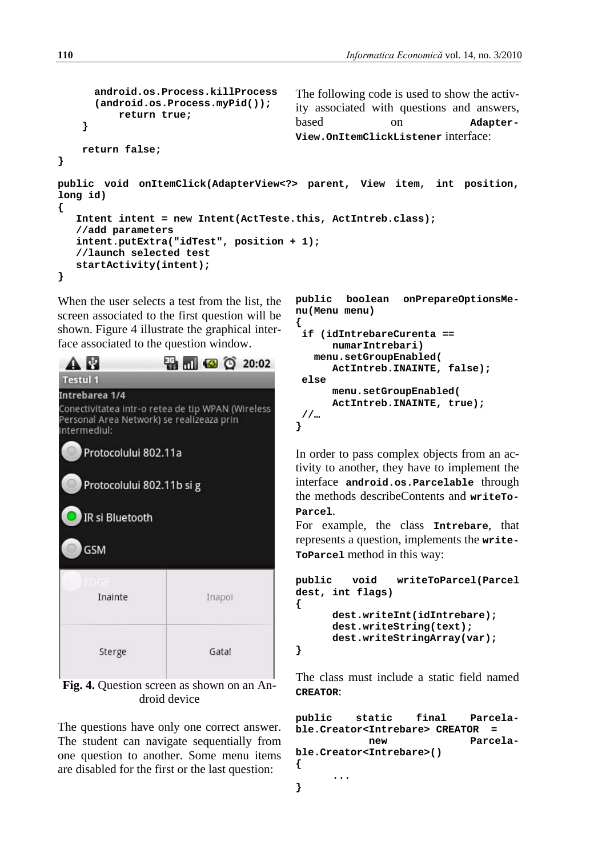```
android.os.Process.killProcess
      (android.os.Process.myPid()); 
           return true;
     }
     return false;
}
                                        The following code is used to show the activ-
                                        ity associated with questions and answers, 
                                        based on Adapter-
                                        View.OnItemClickListener interface:
public void onItemClick(AdapterView<?> parent, View item, int position, 
long id) 
{ 
    Intent intent = new Intent(ActTeste.this, ActIntreb.class);
    //add parameters
    intent.putExtra("idTest", position + 1);
    //launch selected test
    startActivity(intent);
}
```
When the user selects a test from the list, the screen associated to the first question will be shown. Figure 4 illustrate the graphical interface associated to the question window.



**Fig. 4.** Question screen as shown on an Android device

The questions have only one correct answer. The student can navigate sequentially from one question to another. Some menu items are disabled for the first or the last question:

```
public boolean onPrepareOptionsMe-
nu(Menu menu) 
{
 if (idIntrebareCurenta == 
      numarIntrebari)
    menu.setGroupEnabled(
      ActIntreb.INAINTE, false);
 else
      menu.setGroupEnabled(
      ActIntreb.INAINTE, true); 
 //…
}
```
In order to pass complex objects from an activity to another, they have to implement the interface **android.os.Parcelable** through the methods describeContents and **writeTo-Parcel**.

For example, the class **Intrebare**, that represents a question, implements the **write-ToParcel** method in this way:

```
public void writeToParcel(Parcel 
dest, int flags) 
{
      dest.writeInt(idIntrebare);
      dest.writeString(text);
      dest.writeStringArray(var);
}
```
The class must include a static field named **CREATOR**:

**public static final Parcelable.Creator<Intrebare> CREATOR = new Parcelable.Creator<Intrebare>() { ... }**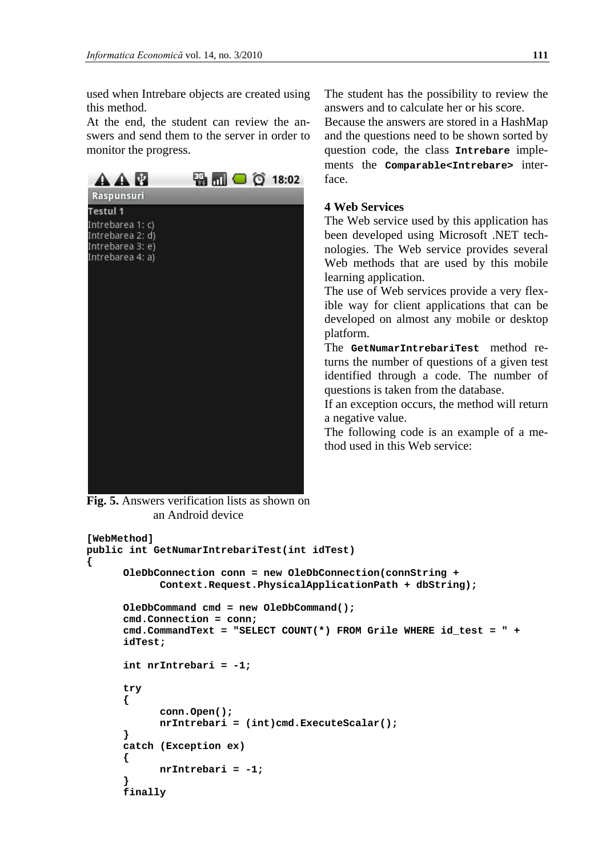used when Intrebare objects are created using this method.

At the end, the student can review the answers and send them to the server in order to monitor the progress.



**Fig. 5.** Answers verification lists as shown on an Android device

The student has the possibility to review the answers and to calculate her or his score.

Because the answers are stored in a HashMap and the questions need to be shown sorted by question code, the class **Intrebare** implements the **Comparable<Intrebare>** interface.

### **4 Web Services**

The Web service used by this application has been developed using Microsoft .NET technologies. The Web service provides several Web methods that are used by this mobile learning application.

The use of Web services provide a very flexible way for client applications that can be developed on almost any mobile or desktop platform.

The **GetNumarIntrebariTest** method returns the number of questions of a given test identified through a code. The number of questions is taken from the database.

If an exception occurs, the method will return a negative value.

The following code is an example of a method used in this Web service:

```
[WebMethod]
public int GetNumarIntrebariTest(int idTest)
{
      OleDbConnection conn = new OleDbConnection(connString + 
            Context.Request.PhysicalApplicationPath + dbString);
       OleDbCommand cmd = new OleDbCommand();
       cmd.Connection = conn;
      cmd.CommandText = "SELECT COUNT(*) FROM Grile WHERE id_test = " + 
      idTest;
       int nrIntrebari = -1;
       try
       {
             conn.Open();
             nrIntrebari = (int)cmd.ExecuteScalar();
       }
       catch (Exception ex)
       {
      nrIntrebari = -1;
 }
      finally
```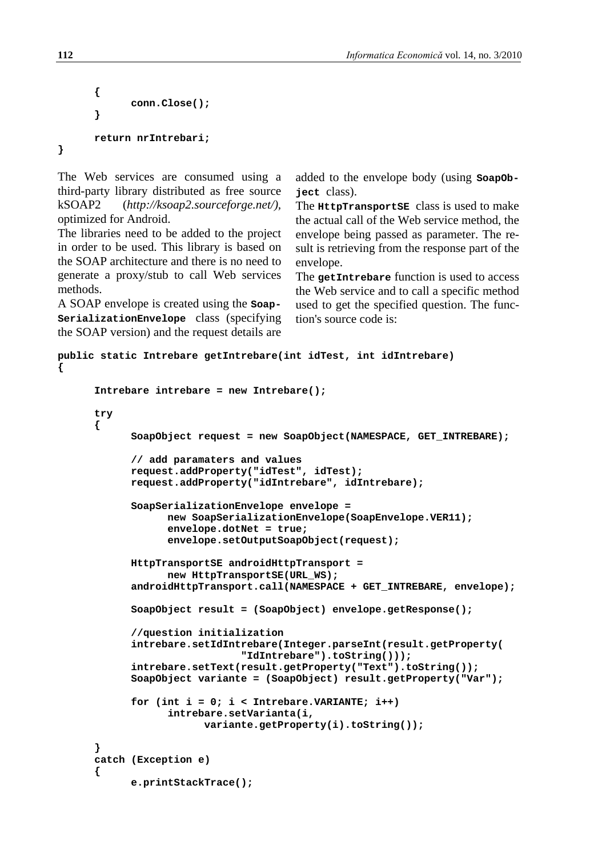```
 {
               conn.Close();
       }
        return nrIntrebari;
}
```
The Web services are consumed using a third-party library distributed as free source kSOAP2 (*http://ksoap2.sourceforge.net/),* optimized for Android.

The libraries need to be added to the project in order to be used. This library is based on the SOAP architecture and there is no need to generate a proxy/stub to call Web services methods.

A SOAP envelope is created using the **Soap-SerializationEnvelope** class (specifying the SOAP version) and the request details are added to the envelope body (using **SoapObject** class).

The **HttpTransportSE** class is used to make the actual call of the Web service method, the envelope being passed as parameter. The result is retrieving from the response part of the envelope.

The **getIntrebare** function is used to access the Web service and to call a specific method used to get the specified question. The function's source code is:

```
public static Intrebare getIntrebare(int idTest, int idIntrebare) 
{
      Intrebare intrebare = new Intrebare();
      try 
      {
            SoapObject request = new SoapObject(NAMESPACE, GET_INTREBARE);
            // add paramaters and values
            request.addProperty("idTest", idTest);
            request.addProperty("idIntrebare", idIntrebare);
            SoapSerializationEnvelope envelope = 
                  new SoapSerializationEnvelope(SoapEnvelope.VER11);
                  envelope.dotNet = true;
                  envelope.setOutputSoapObject(request);
            HttpTransportSE androidHttpTransport = 
                  new HttpTransportSE(URL_WS);
            androidHttpTransport.call(NAMESPACE + GET_INTREBARE, envelope);
            SoapObject result = (SoapObject) envelope.getResponse();
            //question initialization
            intrebare.setIdIntrebare(Integer.parseInt(result.getProperty(
                              "IdIntrebare").toString()));
            intrebare.setText(result.getProperty("Text").toString());
            SoapObject variante = (SoapObject) result.getProperty("Var");
            for (int i = 0; i < Intrebare.VARIANTE; i++)
                  intrebare.setVarianta(i, 
                        variante.getProperty(i).toString());
      } 
      catch (Exception e) 
      {
            e.printStackTrace();
```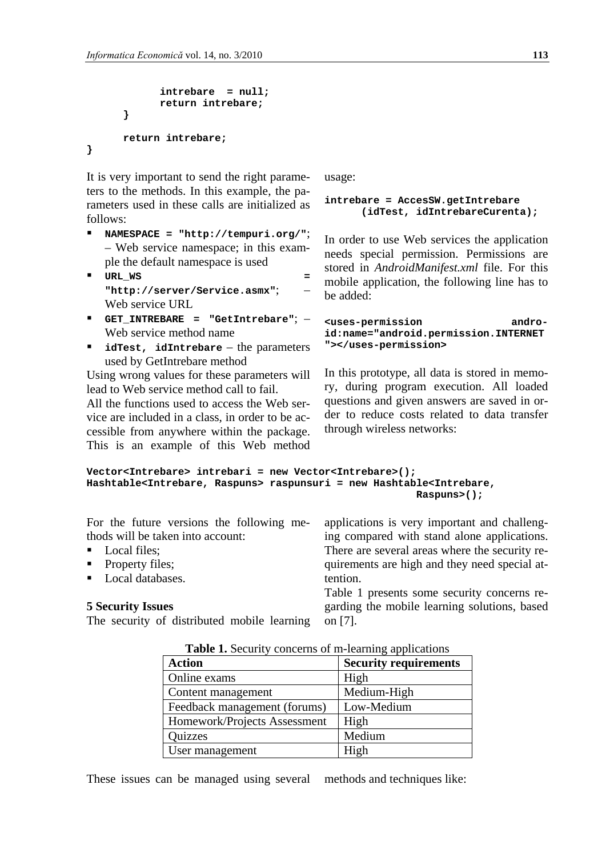```
intrebare = null;
            return intrebare;
      }
      return intrebare;
}
```
It is very important to send the right parameters to the methods. In this example, the parameters used in these calls are initialized as follows:

- **NAMESPACE = "http://tempuri.org/"**; – Web service namespace; in this example the default namespace is used
- **URL\_WS = "http://server/Service.asmx"**; – Web service URL
- **GET\_INTREBARE = "GetIntrebare"**; Web service method name
- **idTest, idIntrebare** the parameters used by GetIntrebare method

Using wrong values for these parameters will lead to Web service method call to fail.

All the functions used to access the Web service are included in a class, in order to be accessible from anywhere within the package. This is an example of this Web method usage:

#### **intrebare = AccesSW.getIntrebare (idTest, idIntrebareCurenta);**

In order to use Web services the application needs special permission. Permissions are stored in *AndroidManifest.xml* file. For this mobile application, the following line has to be added:

**<uses-permission android:name="android.permission.INTERNET "></uses-permission>**

In this prototype, all data is stored in memory, during program execution. All loaded questions and given answers are saved in order to reduce costs related to data transfer through wireless networks:

```
Vector<Intrebare> intrebari = new Vector<Intrebare>();
Hashtable<Intrebare, Raspuns> raspunsuri = new Hashtable<Intrebare, 
                                                       Raspuns>();
```
For the future versions the following methods will be taken into account:

- Local files;
- Property files;
- Local databases.

#### **5 Security Issues**

The security of distributed mobile learning

applications is very important and challenging compared with stand alone applications. There are several areas where the security requirements are high and they need special attention.

Table 1 presents some security concerns regarding the mobile learning solutions, based on [7].

| <b>Table 1.</b> Security concerns of m-learning applications |                              |  |
|--------------------------------------------------------------|------------------------------|--|
| <b>Action</b>                                                | <b>Security requirements</b> |  |
| Online exams                                                 | High                         |  |
| Content management                                           | Medium-High                  |  |
| Feedback management (forums)                                 | Low-Medium                   |  |
| Homework/Projects Assessment                                 | High                         |  |
| Quizzes                                                      | Medium                       |  |
| User management                                              | High                         |  |

**Table 1.** Security concerns of m-learning applications

These issues can be managed using several methods and techniques like: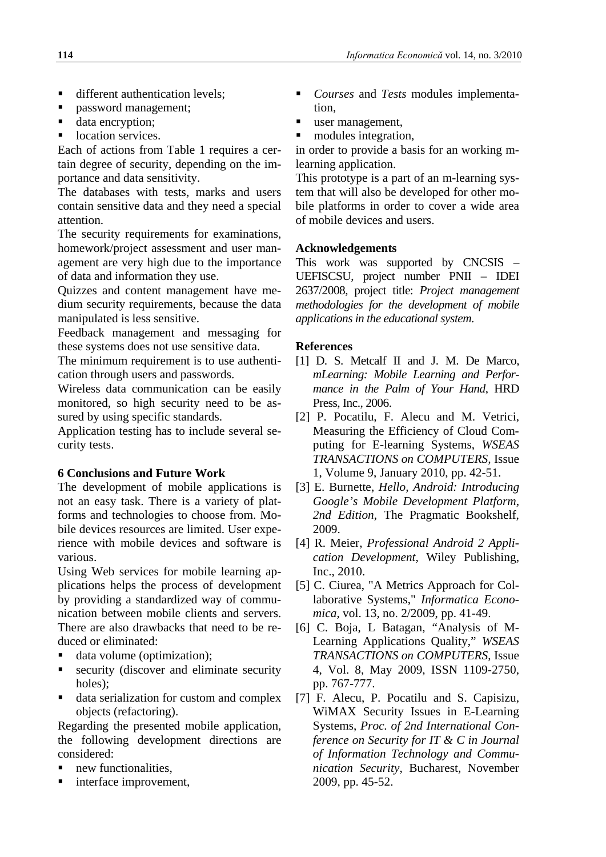- different authentication levels;
- password management:
- data encryption;
- location services.

Each of actions from Table 1 requires a certain degree of security, depending on the importance and data sensitivity.

The databases with tests, marks and users contain sensitive data and they need a special attention.

The security requirements for examinations, homework/project assessment and user management are very high due to the importance of data and information they use.

Quizzes and content management have medium security requirements, because the data manipulated is less sensitive.

Feedback management and messaging for these systems does not use sensitive data.

The minimum requirement is to use authentication through users and passwords.

Wireless data communication can be easily monitored, so high security need to be assured by using specific standards.

Application testing has to include several security tests.

#### **6 Conclusions and Future Work**

The development of mobile applications is not an easy task. There is a variety of platforms and technologies to choose from. Mobile devices resources are limited. User experience with mobile devices and software is various.

Using Web services for mobile learning applications helps the process of development by providing a standardized way of communication between mobile clients and servers. There are also drawbacks that need to be reduced or eliminated:

- data volume (optimization);
- security (discover and eliminate security holes);
- data serialization for custom and complex objects (refactoring).

Regarding the presented mobile application, the following development directions are considered:

- new functionalities,
- interface improvement,
- *Courses* and *Tests* modules implementation,
- user management,
- modules integration,

in order to provide a basis for an working mlearning application.

This prototype is a part of an m-learning system that will also be developed for other mobile platforms in order to cover a wide area of mobile devices and users.

#### **Acknowledgements**

This work was supported by CNCSIS – UEFISCSU, project number PNII – IDEI 2637/2008, project title: *Project management methodologies for the development of mobile applications in the educational system*.

### **References**

- [1] D. S. Metcalf II and J. M. De Marco, *mLearning: Mobile Learning and Performance in the Palm of Your Hand*, HRD Press, Inc., 2006.
- [2] P. Pocatilu, F. Alecu and M. Vetrici, Measuring the Efficiency of Cloud Computing for E-learning Systems, *WSEAS TRANSACTIONS on COMPUTERS,* Issue 1, Volume 9, January 2010, pp. 42-51.
- [3] E. Burnette, *Hello, Android: Introducing Google's Mobile Development Platform, 2nd Edition*, The Pragmatic Bookshelf, 2009.
- [4] R. Meier, *Professional Android 2 Application Development*, Wiley Publishing, Inc., 2010.
- [5] C. Ciurea, "A Metrics Approach for Collaborative Systems," *Informatica Economica*, vol. 13, no. 2/2009, pp. 41-49.
- [6] C. Boja, L Batagan, "Analysis of M-Learning Applications Quality," *WSEAS TRANSACTIONS on COMPUTERS*, Issue 4, Vol. 8, May 2009, ISSN 1109-2750, pp. 767-777.
- [7] F. Alecu, P. Pocatilu and S. Capisizu, WiMAX Security Issues in E-Learning Systems, *Proc. of 2nd International Conference on Security for IT & C in Journal of Information Technology and Communication Security*, Bucharest, November 2009, pp. 45-52.